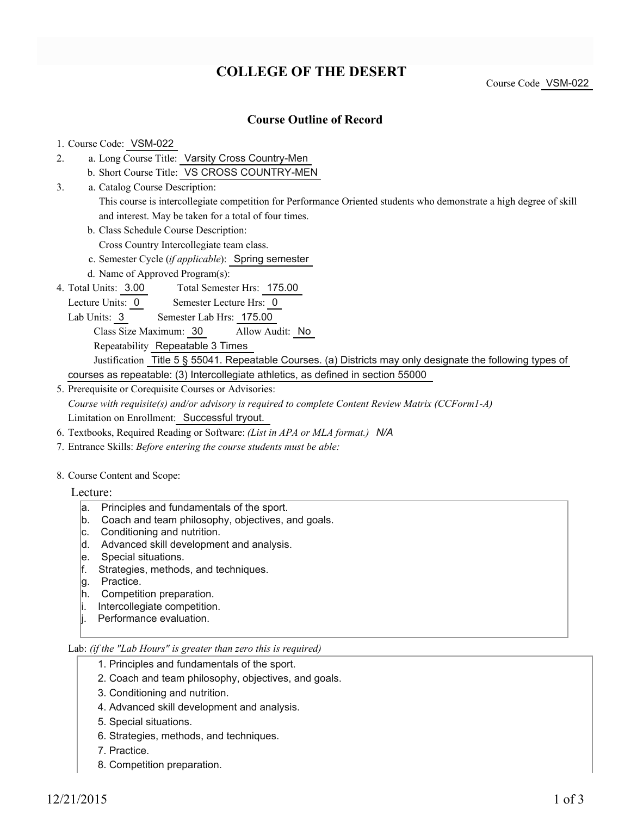# **COLLEGE OF THE DESERT**

Course Code VSM-022

### **Course Outline of Record**

#### 1. Course Code: VSM-022

- a. Long Course Title: Varsity Cross Country-Men 2.
	- b. Short Course Title: VS CROSS COUNTRY-MEN
- Catalog Course Description: a. This course is intercollegiate competition for Performance Oriented students who demonstrate a high degree of skill and interest. May be taken for a total of four times. 3.
	- b. Class Schedule Course Description:
		- Cross Country Intercollegiate team class.
	- c. Semester Cycle (*if applicable*): Spring semester
	- d. Name of Approved Program(s):
- Total Semester Hrs: 175.00 4. Total Units: 3.00
- Lecture Units: 0 Semester Lecture Hrs: 0
	- Lab Units: 3 Semester Lab Hrs: 175.00
		- Class Size Maximum: 30 Allow Audit: No

Repeatability Repeatable 3 Times

Justification Title 5 § 55041. Repeatable Courses. (a) Districts may only designate the following types of courses as repeatable: (3) Intercollegiate athletics, as defined in section 55000

- 5. Prerequisite or Corequisite Courses or Advisories: *Course with requisite(s) and/or advisory is required to complete Content Review Matrix (CCForm1-A)* Limitation on Enrollment: Successful tryout.
- 6. Textbooks, Required Reading or Software: *(List in APA or MLA format.) N/A*
- 7. Entrance Skills: *Before entering the course students must be able:*

#### 8. Course Content and Scope:

- Lecture:
	- a. Principles and fundamentals of the sport.
	- b. Coach and team philosophy, objectives, and goals.
	- c. Conditioning and nutrition.
	- d. Advanced skill development and analysis.
	- e. Special situations.
	- f. Strategies, methods, and techniques.
	- g. Practice.
	- h. Competition preparation.
	- i. Intercollegiate competition.
	- j. Performance evaluation.

#### Lab: *(if the "Lab Hours" is greater than zero this is required)*

- 1. Principles and fundamentals of the sport.
- 2. Coach and team philosophy, objectives, and goals.
- 3. Conditioning and nutrition.
- 4. Advanced skill development and analysis.
- 5. Special situations.
- 6. Strategies, methods, and techniques.
- 7. Practice.
- 8. Competition preparation.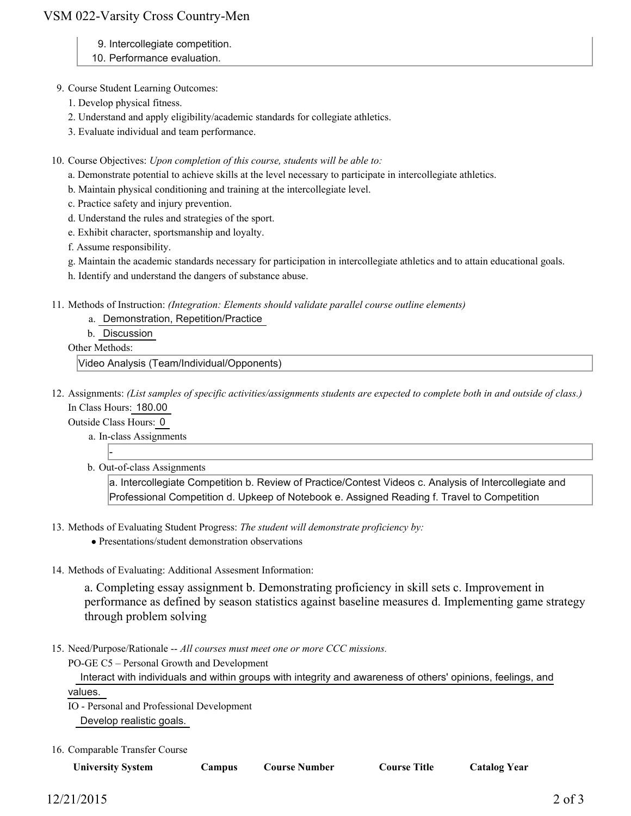## VSM 022-Varsity Cross Country-Men

- 9. Intercollegiate competition.
- 10. Performance evaluation.
- 9. Course Student Learning Outcomes:
	- 1. Develop physical fitness.
	- 2. Understand and apply eligibility/academic standards for collegiate athletics.
	- 3. Evaluate individual and team performance.
- 10. Course Objectives: Upon completion of this course, students will be able to:
	- a. Demonstrate potential to achieve skills at the level necessary to participate in intercollegiate athletics.
	- b. Maintain physical conditioning and training at the intercollegiate level.
	- c. Practice safety and injury prevention.
	- d. Understand the rules and strategies of the sport.
	- e. Exhibit character, sportsmanship and loyalty.

f. Assume responsibility.

- g. Maintain the academic standards necessary for participation in intercollegiate athletics and to attain educational goals.
- h. Identify and understand the dangers of substance abuse.
- Methods of Instruction: *(Integration: Elements should validate parallel course outline elements)* 11.
	- a. Demonstration, Repetition/Practice
		- b. Discussion

Other Methods:

Video Analysis (Team/Individual/Opponents)

- 12. Assignments: (List samples of specific activities/assignments students are expected to complete both in and outside of class.) In Class Hours: 180.00
	- Outside Class Hours: 0

-

a. In-class Assignments

b. Out-of-class Assignments

a. Intercollegiate Competition b. Review of Practice/Contest Videos c. Analysis of Intercollegiate and Professional Competition d. Upkeep of Notebook e. Assigned Reading f. Travel to Competition

- 13. Methods of Evaluating Student Progress: The student will demonstrate proficiency by:
	- Presentations/student demonstration observations
- 14. Methods of Evaluating: Additional Assesment Information:

a. Completing essay assignment b. Demonstrating proficiency in skill sets c. Improvement in performance as defined by season statistics against baseline measures d. Implementing game strategy through problem solving

15. Need/Purpose/Rationale -- All courses must meet one or more CCC missions.

PO-GE C5 – Personal Growth and Development

 Interact with individuals and within groups with integrity and awareness of others' opinions, feelings, and values.

- IO Personal and Professional Development Develop realistic goals.
- 16. Comparable Transfer Course

**University System Campus Course Number Course Title Catalog Year**

12/21/2015 2 of 3